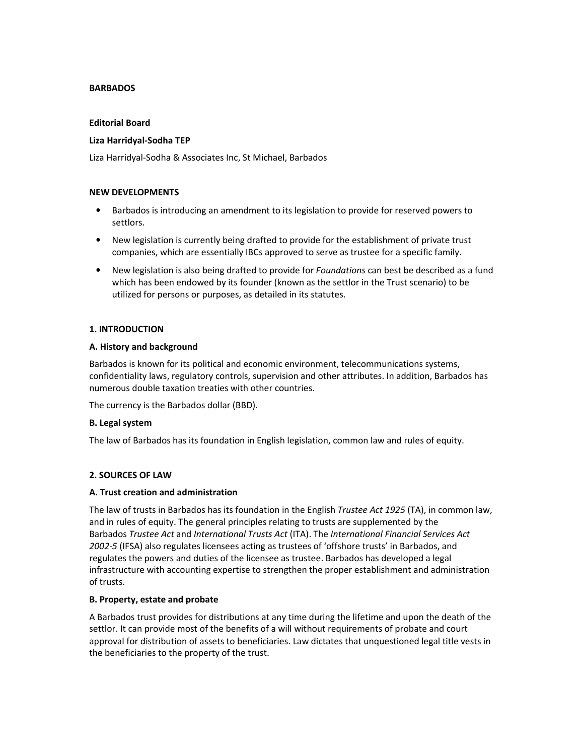### **BARBADOS**

#### Editorial Board

## Liza Harridyal-Sodha TEP

Liza Harridyal-Sodha & Associates Inc, St Michael, Barbados

### NEW DEVELOPMENTS

- Barbados is introducing an amendment to its legislation to provide for reserved powers to settlors.
- New legislation is currently being drafted to provide for the establishment of private trust companies, which are essentially IBCs approved to serve as trustee for a specific family.
- New legislation is also being drafted to provide for Foundations can best be described as a fund which has been endowed by its founder (known as the settlor in the Trust scenario) to be utilized for persons or purposes, as detailed in its statutes.

## 1. INTRODUCTION

#### A. History and background

Barbados is known for its political and economic environment, telecommunications systems, confidentiality laws, regulatory controls, supervision and other attributes. In addition, Barbados has numerous double taxation treaties with other countries.

The currency is the Barbados dollar (BBD).

#### B. Legal system

The law of Barbados has its foundation in English legislation, common law and rules of equity.

#### 2. SOURCES OF LAW

#### A. Trust creation and administration

The law of trusts in Barbados has its foundation in the English Trustee Act 1925 (TA), in common law, and in rules of equity. The general principles relating to trusts are supplemented by the Barbados Trustee Act and International Trusts Act (ITA). The International Financial Services Act 2002-5 (IFSA) also regulates licensees acting as trustees of 'offshore trusts' in Barbados, and regulates the powers and duties of the licensee as trustee. Barbados has developed a legal infrastructure with accounting expertise to strengthen the proper establishment and administration of trusts.

#### B. Property, estate and probate

A Barbados trust provides for distributions at any time during the lifetime and upon the death of the settlor. It can provide most of the benefits of a will without requirements of probate and court approval for distribution of assets to beneficiaries. Law dictates that unquestioned legal title vests in the beneficiaries to the property of the trust.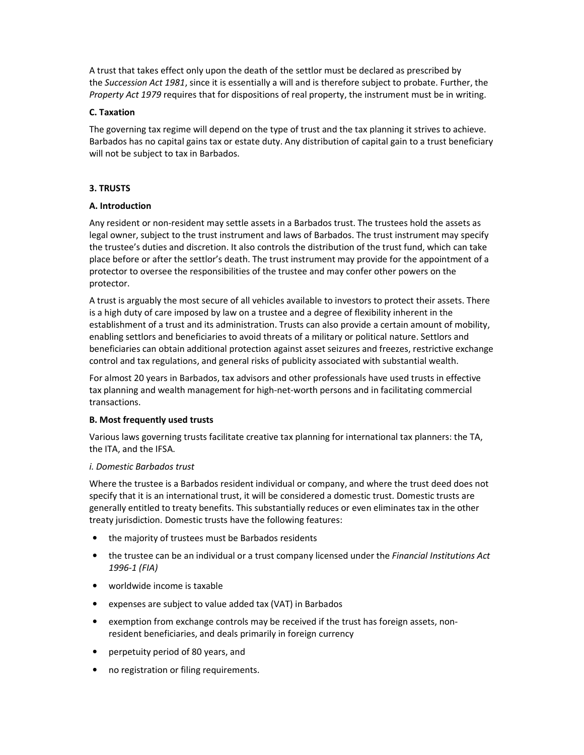A trust that takes effect only upon the death of the settlor must be declared as prescribed by the Succession Act 1981, since it is essentially a will and is therefore subject to probate. Further, the Property Act 1979 requires that for dispositions of real property, the instrument must be in writing.

### C. Taxation

The governing tax regime will depend on the type of trust and the tax planning it strives to achieve. Barbados has no capital gains tax or estate duty. Any distribution of capital gain to a trust beneficiary will not be subject to tax in Barbados.

# 3. TRUSTS

## A. Introduction

Any resident or non-resident may settle assets in a Barbados trust. The trustees hold the assets as legal owner, subject to the trust instrument and laws of Barbados. The trust instrument may specify the trustee's duties and discretion. It also controls the distribution of the trust fund, which can take place before or after the settlor's death. The trust instrument may provide for the appointment of a protector to oversee the responsibilities of the trustee and may confer other powers on the protector.

A trust is arguably the most secure of all vehicles available to investors to protect their assets. There is a high duty of care imposed by law on a trustee and a degree of flexibility inherent in the establishment of a trust and its administration. Trusts can also provide a certain amount of mobility, enabling settlors and beneficiaries to avoid threats of a military or political nature. Settlors and beneficiaries can obtain additional protection against asset seizures and freezes, restrictive exchange control and tax regulations, and general risks of publicity associated with substantial wealth.

For almost 20 years in Barbados, tax advisors and other professionals have used trusts in effective tax planning and wealth management for high-net-worth persons and in facilitating commercial transactions.

#### B. Most frequently used trusts

Various laws governing trusts facilitate creative tax planning for international tax planners: the TA, the ITA, and the IFSA.

#### i. Domestic Barbados trust

Where the trustee is a Barbados resident individual or company, and where the trust deed does not specify that it is an international trust, it will be considered a domestic trust. Domestic trusts are generally entitled to treaty benefits. This substantially reduces or even eliminates tax in the other treaty jurisdiction. Domestic trusts have the following features:

- the majority of trustees must be Barbados residents
- the trustee can be an individual or a trust company licensed under the Financial Institutions Act 1996-1 (FIA)
- worldwide income is taxable
- expenses are subject to value added tax (VAT) in Barbados
- exemption from exchange controls may be received if the trust has foreign assets, nonresident beneficiaries, and deals primarily in foreign currency
- perpetuity period of 80 years, and
- no registration or filing requirements.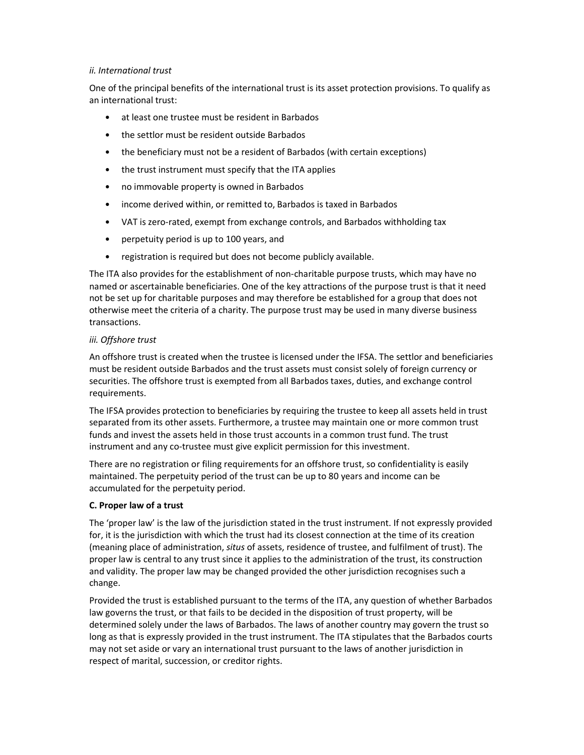### ii. International trust

One of the principal benefits of the international trust is its asset protection provisions. To qualify as an international trust:

- at least one trustee must be resident in Barbados
- the settlor must be resident outside Barbados
- the beneficiary must not be a resident of Barbados (with certain exceptions)
- the trust instrument must specify that the ITA applies
- no immovable property is owned in Barbados
- income derived within, or remitted to, Barbados is taxed in Barbados
- VAT is zero-rated, exempt from exchange controls, and Barbados withholding tax
- perpetuity period is up to 100 years, and
- registration is required but does not become publicly available.

The ITA also provides for the establishment of non-charitable purpose trusts, which may have no named or ascertainable beneficiaries. One of the key attractions of the purpose trust is that it need not be set up for charitable purposes and may therefore be established for a group that does not otherwise meet the criteria of a charity. The purpose trust may be used in many diverse business transactions.

## iii. Offshore trust

An offshore trust is created when the trustee is licensed under the IFSA. The settlor and beneficiaries must be resident outside Barbados and the trust assets must consist solely of foreign currency or securities. The offshore trust is exempted from all Barbados taxes, duties, and exchange control requirements.

The IFSA provides protection to beneficiaries by requiring the trustee to keep all assets held in trust separated from its other assets. Furthermore, a trustee may maintain one or more common trust funds and invest the assets held in those trust accounts in a common trust fund. The trust instrument and any co-trustee must give explicit permission for this investment.

There are no registration or filing requirements for an offshore trust, so confidentiality is easily maintained. The perpetuity period of the trust can be up to 80 years and income can be accumulated for the perpetuity period.

#### C. Proper law of a trust

The 'proper law' is the law of the jurisdiction stated in the trust instrument. If not expressly provided for, it is the jurisdiction with which the trust had its closest connection at the time of its creation (meaning place of administration, situs of assets, residence of trustee, and fulfilment of trust). The proper law is central to any trust since it applies to the administration of the trust, its construction and validity. The proper law may be changed provided the other jurisdiction recognises such a change.

Provided the trust is established pursuant to the terms of the ITA, any question of whether Barbados law governs the trust, or that fails to be decided in the disposition of trust property, will be determined solely under the laws of Barbados. The laws of another country may govern the trust so long as that is expressly provided in the trust instrument. The ITA stipulates that the Barbados courts may not set aside or vary an international trust pursuant to the laws of another jurisdiction in respect of marital, succession, or creditor rights.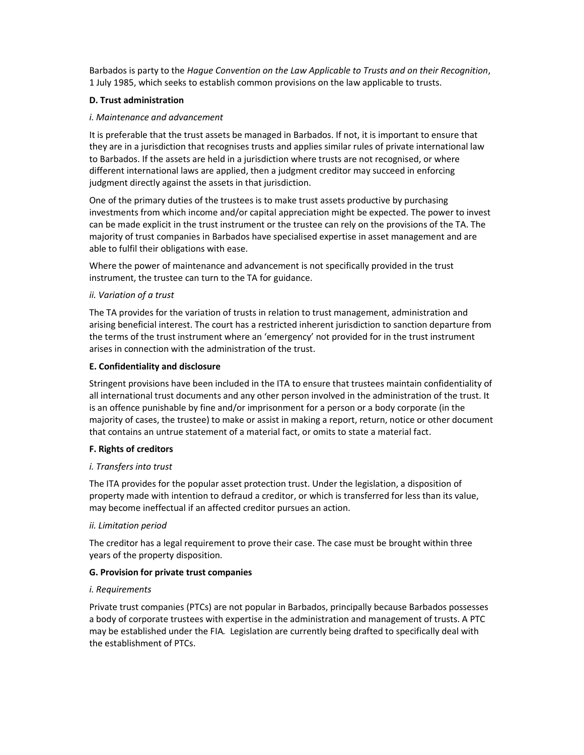Barbados is party to the Hague Convention on the Law Applicable to Trusts and on their Recognition, 1 July 1985, which seeks to establish common provisions on the law applicable to trusts.

## D. Trust administration

### i. Maintenance and advancement

It is preferable that the trust assets be managed in Barbados. If not, it is important to ensure that they are in a jurisdiction that recognises trusts and applies similar rules of private international law to Barbados. If the assets are held in a jurisdiction where trusts are not recognised, or where different international laws are applied, then a judgment creditor may succeed in enforcing judgment directly against the assets in that jurisdiction.

One of the primary duties of the trustees is to make trust assets productive by purchasing investments from which income and/or capital appreciation might be expected. The power to invest can be made explicit in the trust instrument or the trustee can rely on the provisions of the TA. The majority of trust companies in Barbados have specialised expertise in asset management and are able to fulfil their obligations with ease.

Where the power of maintenance and advancement is not specifically provided in the trust instrument, the trustee can turn to the TA for guidance.

## ii. Variation of a trust

The TA provides for the variation of trusts in relation to trust management, administration and arising beneficial interest. The court has a restricted inherent jurisdiction to sanction departure from the terms of the trust instrument where an 'emergency' not provided for in the trust instrument arises in connection with the administration of the trust.

#### E. Confidentiality and disclosure

Stringent provisions have been included in the ITA to ensure that trustees maintain confidentiality of all international trust documents and any other person involved in the administration of the trust. It is an offence punishable by fine and/or imprisonment for a person or a body corporate (in the majority of cases, the trustee) to make or assist in making a report, return, notice or other document that contains an untrue statement of a material fact, or omits to state a material fact.

#### F. Rights of creditors

#### i. Transfers into trust

The ITA provides for the popular asset protection trust. Under the legislation, a disposition of property made with intention to defraud a creditor, or which is transferred for less than its value, may become ineffectual if an affected creditor pursues an action.

#### ii. Limitation period

The creditor has a legal requirement to prove their case. The case must be brought within three years of the property disposition.

# G. Provision for private trust companies

#### i. Requirements

Private trust companies (PTCs) are not popular in Barbados, principally because Barbados possesses a body of corporate trustees with expertise in the administration and management of trusts. A PTC may be established under the FIA. Legislation are currently being drafted to specifically deal with the establishment of PTCs.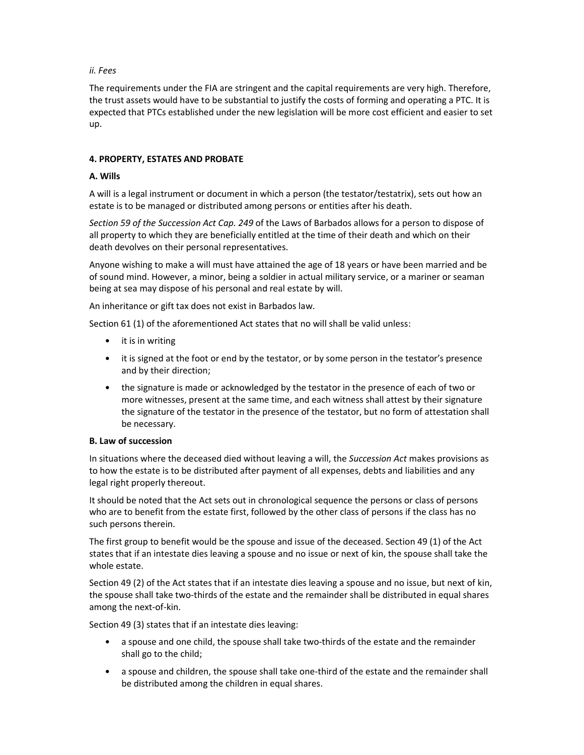## ii. Fees

The requirements under the FIA are stringent and the capital requirements are very high. Therefore, the trust assets would have to be substantial to justify the costs of forming and operating a PTC. It is expected that PTCs established under the new legislation will be more cost efficient and easier to set up.

### 4. PROPERTY, ESTATES AND PROBATE

## A. Wills

A will is a legal instrument or document in which a person (the testator/testatrix), sets out how an estate is to be managed or distributed among persons or entities after his death.

Section 59 of the Succession Act Cap. 249 of the Laws of Barbados allows for a person to dispose of all property to which they are beneficially entitled at the time of their death and which on their death devolves on their personal representatives.

Anyone wishing to make a will must have attained the age of 18 years or have been married and be of sound mind. However, a minor, being a soldier in actual military service, or a mariner or seaman being at sea may dispose of his personal and real estate by will.

An inheritance or gift tax does not exist in Barbados law.

Section 61 (1) of the aforementioned Act states that no will shall be valid unless:

- it is in writing
- it is signed at the foot or end by the testator, or by some person in the testator's presence and by their direction;
- the signature is made or acknowledged by the testator in the presence of each of two or more witnesses, present at the same time, and each witness shall attest by their signature the signature of the testator in the presence of the testator, but no form of attestation shall be necessary.

#### B. Law of succession

In situations where the deceased died without leaving a will, the Succession Act makes provisions as to how the estate is to be distributed after payment of all expenses, debts and liabilities and any legal right properly thereout.

It should be noted that the Act sets out in chronological sequence the persons or class of persons who are to benefit from the estate first, followed by the other class of persons if the class has no such persons therein.

The first group to benefit would be the spouse and issue of the deceased. Section 49 (1) of the Act states that if an intestate dies leaving a spouse and no issue or next of kin, the spouse shall take the whole estate.

Section 49 (2) of the Act states that if an intestate dies leaving a spouse and no issue, but next of kin, the spouse shall take two-thirds of the estate and the remainder shall be distributed in equal shares among the next-of-kin.

Section 49 (3) states that if an intestate dies leaving:

- a spouse and one child, the spouse shall take two-thirds of the estate and the remainder shall go to the child;
- a spouse and children, the spouse shall take one-third of the estate and the remainder shall be distributed among the children in equal shares.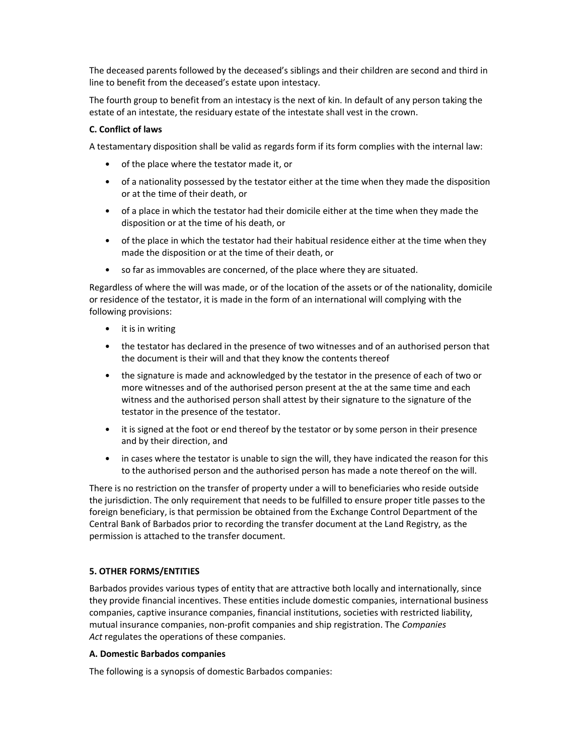The deceased parents followed by the deceased's siblings and their children are second and third in line to benefit from the deceased's estate upon intestacy.

The fourth group to benefit from an intestacy is the next of kin. In default of any person taking the estate of an intestate, the residuary estate of the intestate shall vest in the crown.

#### C. Conflict of laws

A testamentary disposition shall be valid as regards form if its form complies with the internal law:

- of the place where the testator made it, or
- of a nationality possessed by the testator either at the time when they made the disposition or at the time of their death, or
- of a place in which the testator had their domicile either at the time when they made the disposition or at the time of his death, or
- of the place in which the testator had their habitual residence either at the time when they made the disposition or at the time of their death, or
- so far as immovables are concerned, of the place where they are situated.

Regardless of where the will was made, or of the location of the assets or of the nationality, domicile or residence of the testator, it is made in the form of an international will complying with the following provisions:

- it is in writing
- the testator has declared in the presence of two witnesses and of an authorised person that the document is their will and that they know the contents thereof
- the signature is made and acknowledged by the testator in the presence of each of two or more witnesses and of the authorised person present at the at the same time and each witness and the authorised person shall attest by their signature to the signature of the testator in the presence of the testator.
- it is signed at the foot or end thereof by the testator or by some person in their presence and by their direction, and
- in cases where the testator is unable to sign the will, they have indicated the reason for this to the authorised person and the authorised person has made a note thereof on the will.

There is no restriction on the transfer of property under a will to beneficiaries who reside outside the jurisdiction. The only requirement that needs to be fulfilled to ensure proper title passes to the foreign beneficiary, is that permission be obtained from the Exchange Control Department of the Central Bank of Barbados prior to recording the transfer document at the Land Registry, as the permission is attached to the transfer document.

#### 5. OTHER FORMS/ENTITIES

Barbados provides various types of entity that are attractive both locally and internationally, since they provide financial incentives. These entities include domestic companies, international business companies, captive insurance companies, financial institutions, societies with restricted liability, mutual insurance companies, non-profit companies and ship registration. The Companies Act regulates the operations of these companies.

#### A. Domestic Barbados companies

The following is a synopsis of domestic Barbados companies: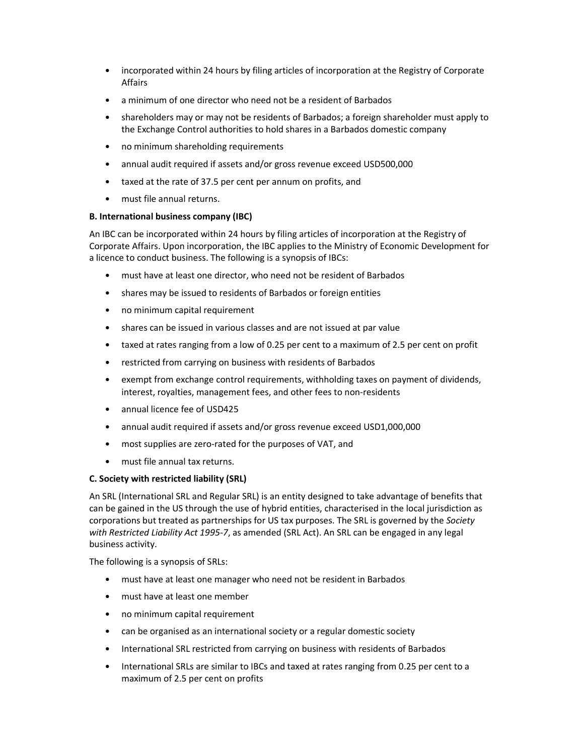- incorporated within 24 hours by filing articles of incorporation at the Registry of Corporate Affairs
- a minimum of one director who need not be a resident of Barbados
- shareholders may or may not be residents of Barbados; a foreign shareholder must apply to the Exchange Control authorities to hold shares in a Barbados domestic company
- no minimum shareholding requirements
- annual audit required if assets and/or gross revenue exceed USD500,000
- taxed at the rate of 37.5 per cent per annum on profits, and
- must file annual returns.

## B. International business company (IBC)

An IBC can be incorporated within 24 hours by filing articles of incorporation at the Registry of Corporate Affairs. Upon incorporation, the IBC applies to the Ministry of Economic Development for a licence to conduct business. The following is a synopsis of IBCs:

- must have at least one director, who need not be resident of Barbados
- shares may be issued to residents of Barbados or foreign entities
- no minimum capital requirement
- shares can be issued in various classes and are not issued at par value
- taxed at rates ranging from a low of 0.25 per cent to a maximum of 2.5 per cent on profit
- restricted from carrying on business with residents of Barbados
- exempt from exchange control requirements, withholding taxes on payment of dividends, interest, royalties, management fees, and other fees to non-residents
- annual licence fee of USD425
- annual audit required if assets and/or gross revenue exceed USD1,000,000
- most supplies are zero-rated for the purposes of VAT, and
- must file annual tax returns.

#### C. Society with restricted liability (SRL)

An SRL (International SRL and Regular SRL) is an entity designed to take advantage of benefits that can be gained in the US through the use of hybrid entities, characterised in the local jurisdiction as corporations but treated as partnerships for US tax purposes. The SRL is governed by the Society with Restricted Liability Act 1995-7, as amended (SRL Act). An SRL can be engaged in any legal business activity.

The following is a synopsis of SRLs:

- must have at least one manager who need not be resident in Barbados
- must have at least one member
- no minimum capital requirement
- can be organised as an international society or a regular domestic society
- International SRL restricted from carrying on business with residents of Barbados
- International SRLs are similar to IBCs and taxed at rates ranging from 0.25 per cent to a maximum of 2.5 per cent on profits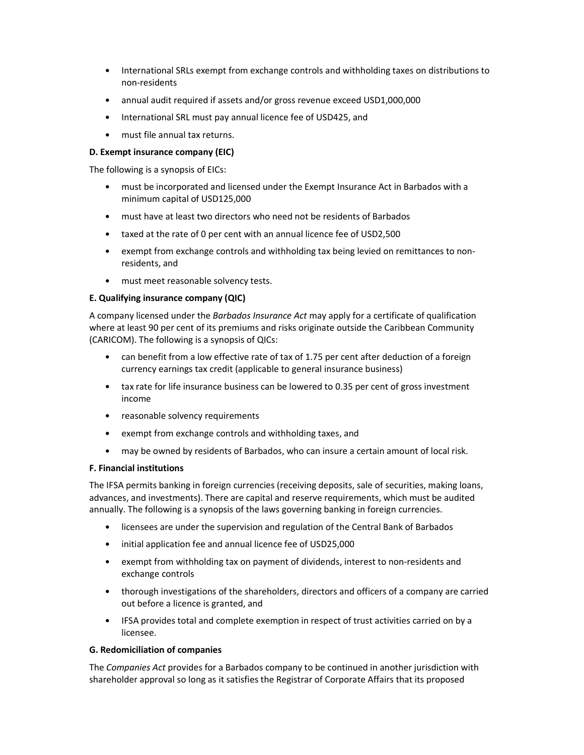- International SRLs exempt from exchange controls and withholding taxes on distributions to non-residents
- annual audit required if assets and/or gross revenue exceed USD1,000,000
- International SRL must pay annual licence fee of USD425, and
- must file annual tax returns.

## D. Exempt insurance company (EIC)

The following is a synopsis of EICs:

- must be incorporated and licensed under the Exempt Insurance Act in Barbados with a minimum capital of USD125,000
- must have at least two directors who need not be residents of Barbados
- taxed at the rate of 0 per cent with an annual licence fee of USD2,500
- exempt from exchange controls and withholding tax being levied on remittances to nonresidents, and
- must meet reasonable solvency tests.

## E. Qualifying insurance company (QIC)

A company licensed under the *Barbados Insurance Act* may apply for a certificate of qualification where at least 90 per cent of its premiums and risks originate outside the Caribbean Community (CARICOM). The following is a synopsis of QICs:

- can benefit from a low effective rate of tax of 1.75 per cent after deduction of a foreign currency earnings tax credit (applicable to general insurance business)
- tax rate for life insurance business can be lowered to 0.35 per cent of gross investment income
- reasonable solvency requirements
- exempt from exchange controls and withholding taxes, and
- may be owned by residents of Barbados, who can insure a certain amount of local risk.

#### F. Financial institutions

The IFSA permits banking in foreign currencies (receiving deposits, sale of securities, making loans, advances, and investments). There are capital and reserve requirements, which must be audited annually. The following is a synopsis of the laws governing banking in foreign currencies.

- licensees are under the supervision and regulation of the Central Bank of Barbados
- initial application fee and annual licence fee of USD25,000
- exempt from withholding tax on payment of dividends, interest to non-residents and exchange controls
- thorough investigations of the shareholders, directors and officers of a company are carried out before a licence is granted, and
- IFSA provides total and complete exemption in respect of trust activities carried on by a licensee.

### G. Redomiciliation of companies

The Companies Act provides for a Barbados company to be continued in another jurisdiction with shareholder approval so long as it satisfies the Registrar of Corporate Affairs that its proposed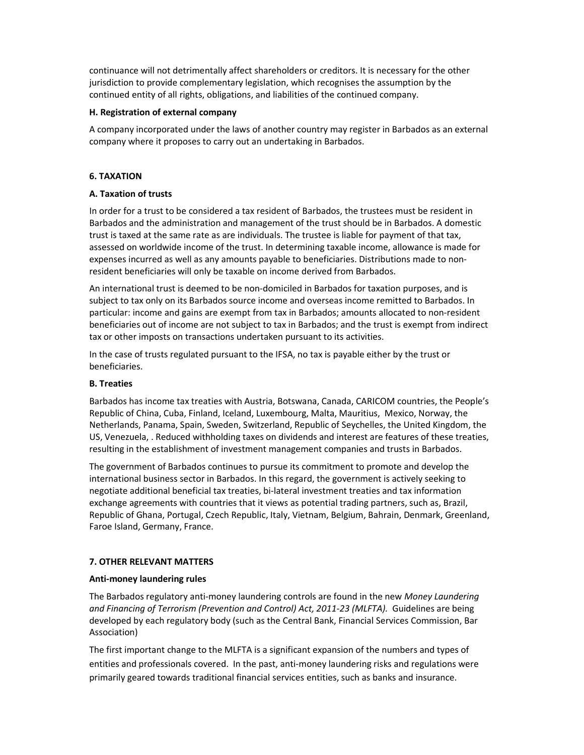continuance will not detrimentally affect shareholders or creditors. It is necessary for the other jurisdiction to provide complementary legislation, which recognises the assumption by the continued entity of all rights, obligations, and liabilities of the continued company.

#### H. Registration of external company

A company incorporated under the laws of another country may register in Barbados as an external company where it proposes to carry out an undertaking in Barbados.

# 6. TAXATION

# A. Taxation of trusts

In order for a trust to be considered a tax resident of Barbados, the trustees must be resident in Barbados and the administration and management of the trust should be in Barbados. A domestic trust is taxed at the same rate as are individuals. The trustee is liable for payment of that tax, assessed on worldwide income of the trust. In determining taxable income, allowance is made for expenses incurred as well as any amounts payable to beneficiaries. Distributions made to nonresident beneficiaries will only be taxable on income derived from Barbados.

An international trust is deemed to be non-domiciled in Barbados for taxation purposes, and is subject to tax only on its Barbados source income and overseas income remitted to Barbados. In particular: income and gains are exempt from tax in Barbados; amounts allocated to non-resident beneficiaries out of income are not subject to tax in Barbados; and the trust is exempt from indirect tax or other imposts on transactions undertaken pursuant to its activities.

In the case of trusts regulated pursuant to the IFSA, no tax is payable either by the trust or beneficiaries.

# B. Treaties

Barbados has income tax treaties with Austria, Botswana, Canada, CARICOM countries, the People's Republic of China, Cuba, Finland, Iceland, Luxembourg, Malta, Mauritius, Mexico, Norway, the Netherlands, Panama, Spain, Sweden, Switzerland, Republic of Seychelles, the United Kingdom, the US, Venezuela, . Reduced withholding taxes on dividends and interest are features of these treaties, resulting in the establishment of investment management companies and trusts in Barbados.

The government of Barbados continues to pursue its commitment to promote and develop the international business sector in Barbados. In this regard, the government is actively seeking to negotiate additional beneficial tax treaties, bi-lateral investment treaties and tax information exchange agreements with countries that it views as potential trading partners, such as, Brazil, Republic of Ghana, Portugal, Czech Republic, Italy, Vietnam, Belgium, Bahrain, Denmark, Greenland, Faroe Island, Germany, France.

# 7. OTHER RELEVANT MATTERS

# Anti-money laundering rules

The Barbados regulatory anti-money laundering controls are found in the new Money Laundering and Financing of Terrorism (Prevention and Control) Act, 2011-23 (MLFTA). Guidelines are being developed by each regulatory body (such as the Central Bank, Financial Services Commission, Bar Association)

The first important change to the MLFTA is a significant expansion of the numbers and types of entities and professionals covered. In the past, anti-money laundering risks and regulations were primarily geared towards traditional financial services entities, such as banks and insurance.